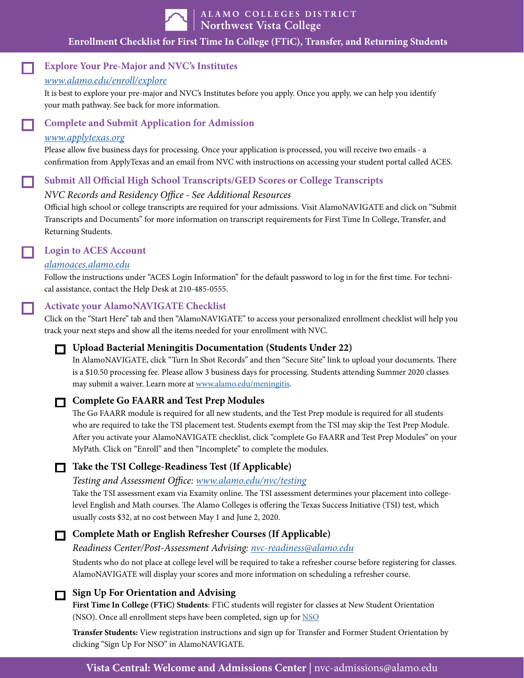

| ALAMO COLLEGES DISTRICT<br>| Northwest Vista College

## **Enrollment Checklist for First Time In College (FTiC), Transfer, and Returning Students**

# **Explore Your Pre-Major and NVC's Institutes**

#### *[www.alamo.edu/enroll/explore](http://www.alamo.edu/enroll/explore)*

It is best to explore your pre-major and NVC's Institutes before you apply. Once you apply, we can help you identify your math pathway. See back for more information.

## **Complete and Submit Application for Admission**

#### *[www.applytexas.org](https://www.applytexas.org/adappc/gen/c_start.WBX)*

Please allow five business days for processing. Once your application is processed, you will receive two emails - a confirmation from ApplyTexas and an email from NVC with instructions on accessing your student portal called ACES.

#### **Submit All Official High School Transcripts/GED Scores or College Transcripts**

#### *NVC Records and Residency Office - See Additional Resources*

Official high school or college transcripts are required for your admissions. Visit AlamoNAVIGATE and click on "Submit Transcripts and Documents" for more information on transcript requirements for First Time In College, Transfer, and Returning Students.

# **Login to ACES Account**

#### *[alamoaces.alamo.edu](https://login.alamo.edu/authenticationendpoint/login.do?Name=PreLoginRequestProcessor&commonAuthCallerPath=%252Fcas%252Flogin&forceAuth=false&passiveAuth=false&service=https%3A%2F%2Faces.alamo.edu%2Fc%2Fportal%2Flogin&tenantDomain=carbon.super&sessionDataKey=1be31ac0-682e-4339-a4a2-58e8a1e27e60&relyingParty=Luminis_portals&type=cas&sp=Luminis_portals&isSaaSApp=false&authenticators=BasicAuthenticator:LOCAL)*

Follow the instructions under "ACES Login Information" for the default password to log in for the first time. For technical assistance, contact the Help Desk at 210-485-0555.

#### **Activate your AlamoNAVIGATE Checklist**

Click on the "Start Here" tab and then "AlamoNAVIGATE" to access your personalized enrollment checklist will help you track your next steps and show all the items needed for your enrollment with NVC.

#### **Upload Bacterial Meningitis Documentation (Students Under 22)**

In AlamoNAVIGATE, click "Turn In Shot Records" and then "Secure Site" link to upload your documents. There is a \$10.50 processing fee. Please allow 3 business days for processing. Students attending Summer 2020 classes may submit a waiver. Learn more at [www.alamo.edu/meningitis.](http://www.alamo.edu/meningitis)

#### **Complete Go FAARR and Test Prep Modules**

The Go FAARR module is required for all new students, and the Test Prep module is required for all students who are required to take the TSI placement test. Students exempt from the TSI may skip the Test Prep Module. After you activate your AlamoNAVIGATE checklist, click "complete Go FAARR and Test Prep Modules" on your MyPath. Click on "Enroll" and then "Incomplete" to complete the modules.

#### **Take the TSI College-Readiness Test (If Applicable)**

#### *Testing and Assessment Office: [www.alamo.edu/nvc/testing](https://www.alamo.edu/nvc/testing)*

Take the TSI assessment exam via Examity online. The TSI assessment determines your placement into collegelevel English and Math courses. The Alamo Colleges is offering the Texas Success Initiative (TSI) test, which usually costs \$32, at no cost between May 1 and June 2, 2020.

# **Complete Math or English Refresher Courses (If Applicable)**

*Readiness Center/Post-Assessment Advising: [nvc-readiness@alamo.edu](mailto:nvc-readiness%40alamo.edu?subject=)*

Students who do not place at college level will be required to take a refresher course before registering for classes. AlamoNAVIGATE will display your scores and more information on scheduling a refresher course.

#### **Sign Up For Orientation and Advising**

**First Time In College (FTiC) Students**: FTiC students will register for classes at New Student Orientation (NSO). Once all enrollment steps have been completed, sign up for [NSO](https://www.alamo.edu/nvc/admissions-and-aid/how-to-apply/ftic/new-student-orientation/)

**Transfer Students:** View registration instructions and sign up for Transfer and Former Student Orientation by clicking "Sign Up For NSO" in AlamoNAVIGATE.